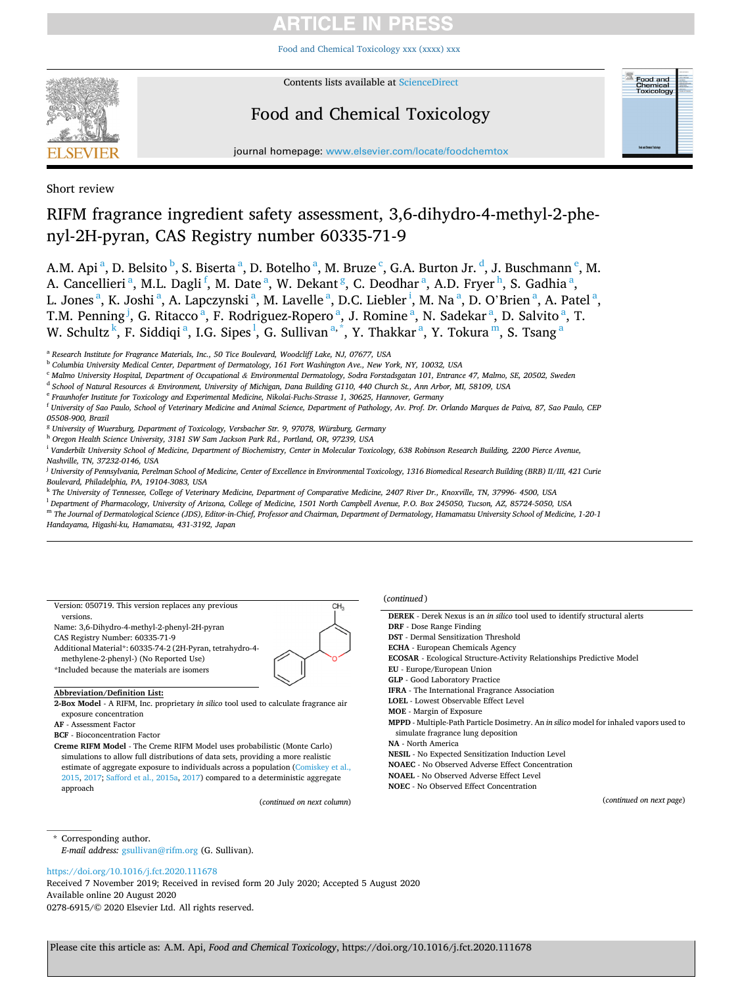# **ARTICLE IN PRES**

Food [and Chemical Toxicology xxx \(xxxx\) xxx](https://doi.org/10.1016/j.fct.2020.111678)



Contents lists available at [ScienceDirect](www.sciencedirect.com/science/journal/02786915)

# Food and Chemical Toxicology



journal homepage: [www.elsevier.com/locate/foodchemtox](https://www.elsevier.com/locate/foodchemtox)

Short review

# RIFM fragrance ingredient safety assessment, 3,6-dihydro-4-methyl-2-phenyl-2H-pyran, CAS Registry number 60335-71-9

A.M. Api <sup>a</sup>, D. Belsito <sup>b</sup>, S. Biserta <sup>a</sup>, D. Botelho <sup>a</sup>, M. Bruze <sup>c</sup>, G.A. Burton Jr. <sup>d</sup>, J. Buschmann <sup>e</sup>, M. A. Cancellieri<sup>a</sup>, M.L. Dagli<sup>f</sup>, M. Date<sup>a</sup>, W. Dekant<sup>g</sup>, C. Deodhar<sup>a</sup>, A.D. Fryer<sup>h</sup>, S. Gadhia<sup>a</sup>, L. Jones<sup>a</sup>, K. Joshi<sup>a</sup>, A. Lapczynski<sup>a</sup>, M. Lavelle<sup>a</sup>, D.C. Liebler<sup>i</sup>, M. Na<sup>a</sup>, D. O'Brien<sup>a</sup>, A. Patel<sup>a</sup>, T.M. Penning <sup>j</sup>, G. Ritacco <sup>a</sup>, F. Rodriguez-Ropero <sup>a</sup>, J. Romine <sup>a</sup>, N. Sadekar <sup>a</sup>, D. Salvito <sup>a</sup>, T. W. Schultz $^{\rm k}$ , F. Siddiqi $^{\rm a}$ , I.G. Sipes $^{\rm l}$ , G. Sullivan $^{\rm a,*}$ , Y. Thakkar $^{\rm a}$ , Y. Tokura $^{\rm m}$ , S. Tsang $^{\rm a}$ 

<sup>c</sup> *Malmo University Hospital, Department of Occupational & Environmental Dermatology, Sodra Forstadsgatan 101, Entrance 47, Malmo, SE, 20502, Sweden* 

<sup>d</sup> *School of Natural Resources & Environment, University of Michigan, Dana Building G110, 440 Church St., Ann Arbor, MI, 58109, USA* 

<sup>e</sup> *Fraunhofer Institute for Toxicology and Experimental Medicine, Nikolai-Fuchs-Strasse 1, 30625, Hannover, Germany* 

<sup>f</sup> *University of Sao Paulo, School of Veterinary Medicine and Animal Science, Department of Pathology, Av. Prof. Dr. Orlando Marques de Paiva, 87, Sao Paulo, CEP 05508-900, Brazil* 

<sup>g</sup> *University of Wuerzburg, Department of Toxicology, Versbacher Str. 9, 97078, Würzburg, Germany* 

<sup>h</sup> *Oregon Health Science University, 3181 SW Sam Jackson Park Rd., Portland, OR, 97239, USA* 

<sup>i</sup> Vanderbilt University School of Medicine, Department of Biochemistry, Center in Molecular Toxicology, 638 Robinson Research Building, 2200 Pierce Avenue, *Nashville, TN, 37232-0146, USA* 

<sup>j</sup> *University of Pennsylvania, Perelman School of Medicine, Center of Excellence in Environmental Toxicology, 1316 Biomedical Research Building (BRB) II/III, 421 Curie Boulevard, Philadelphia, PA, 19104-3083, USA* 

<sup>k</sup> *The University of Tennessee, College of Veterinary Medicine, Department of Comparative Medicine, 2407 River Dr., Knoxville, TN, 37996- 4500, USA* 

<sup>l</sup> *Department of Pharmacology, University of Arizona, College of Medicine, 1501 North Campbell Avenue, P.O. Box 245050, Tucson, AZ, 85724-5050, USA* 

<sup>m</sup> *The Journal of Dermatological Science (JDS), Editor-in-Chief, Professor and Chairman, Department of Dermatology, Hamamatsu University School of Medicine, 1-20-1 Handayama, Higashi-ku, Hamamatsu, 431-3192, Japan* 

 $CH<sub>3</sub>$ 

Version: 050719. This version replaces any previous versions. Name: 3,6-Dihydro-4-methyl-2-phenyl-2H-pyran

CAS Registry Number: 60335-71-9

Additional Material\*: 60335-74-2 (2H-Pyran, tetrahydro-4-

methylene-2-phenyl-) (No Reported Use) \*Included because the materials are isomers



# **Abbreviation/Definition List:**

**2-Box Model** - A RIFM, Inc. proprietary *in silico* tool used to calculate fragrance air exposure concentration

**AF** - Assessment Factor

**BCF** - Bioconcentration Factor

**Creme RIFM Model** - The Creme RIFM Model uses probabilistic (Monte Carlo) simulations to allow full distributions of data sets, providing a more realistic estimate of aggregate exposure to individuals across a population ([Comiskey et al.,](#page-7-0)  [2015,](#page-7-0) [2017;](#page-7-0) [Safford et al., 2015a](#page-8-0), [2017](#page-8-0)) compared to a deterministic aggregate approach

(*continued on next column*)

#### (*continued* )

| <b>DEREK</b> - Derek Nexus is an <i>in silico</i> tool used to identify structural alerts            |
|------------------------------------------------------------------------------------------------------|
| <b>DRF</b> - Dose Range Finding                                                                      |
| <b>DST</b> - Dermal Sensitization Threshold                                                          |
| <b>ECHA</b> - European Chemicals Agency                                                              |
| <b>ECOSAR</b> - Ecological Structure-Activity Relationships Predictive Model                         |
| EU - Europe/European Union                                                                           |
| <b>GLP</b> - Good Laboratory Practice                                                                |
| <b>IFRA</b> - The International Fragrance Association                                                |
| LOEL - Lowest Observable Effect Level                                                                |
| <b>MOE</b> - Margin of Exposure                                                                      |
| <b>MPPD</b> - Multiple-Path Particle Dosimetry. An <i>in silico</i> model for inhaled vapors used to |
| simulate fragrance lung deposition                                                                   |
| NA - North America                                                                                   |
| <b>NESIL</b> - No Expected Sensitization Induction Level                                             |
| <b>NOAEC</b> - No Observed Adverse Effect Concentration                                              |
| <b>NOAEL</b> - No Observed Adverse Effect Level                                                      |
| NOEC - No Observed Effect Concentration                                                              |
| (continued on next page)                                                                             |
|                                                                                                      |

\* Corresponding author. *E-mail address:* [gsullivan@rifm.org](mailto:gsullivan@rifm.org) (G. Sullivan).

<https://doi.org/10.1016/j.fct.2020.111678>

Available online 20 August 2020 0278-6915/© 2020 Elsevier Ltd. All rights reserved. Received 7 November 2019; Received in revised form 20 July 2020; Accepted 5 August 2020

<sup>a</sup> *Research Institute for Fragrance Materials, Inc., 50 Tice Boulevard, Woodcliff Lake, NJ, 07677, USA* 

<sup>b</sup> *Columbia University Medical Center, Department of Dermatology, 161 Fort Washington Ave., New York, NY, 10032, USA*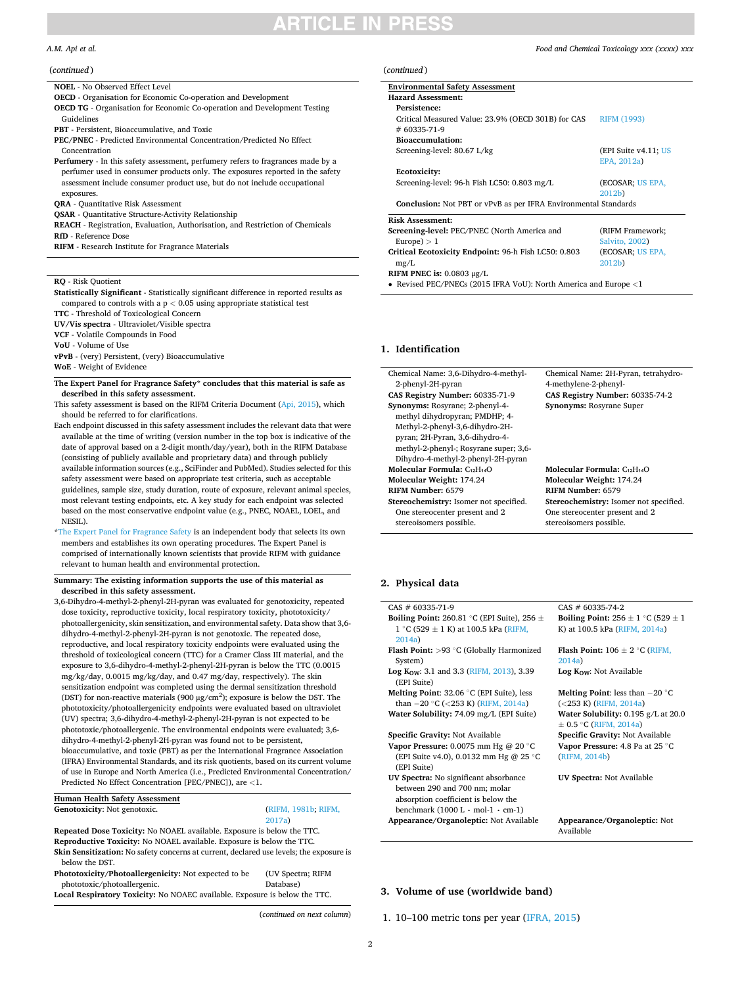# <span id="page-1-0"></span>*A.M. Api et al.*

# (*continued* )

#### **NOEL** - No Observed Effect Level

- **OECD**  Organisation for Economic Co-operation and Development
- **OECD TG**  Organisation for Economic Co-operation and Development Testing Guidelines
- **PBT**  Persistent, Bioaccumulative, and Toxic
- **PEC/PNEC**  Predicted Environmental Concentration/Predicted No Effect Concentration
- **Perfumery**  In this safety assessment, perfumery refers to fragrances made by a perfumer used in consumer products only. The exposures reported in the safety assessment include consumer product use, but do not include occupational exposures.
- **QRA**  Quantitative Risk Assessment
- **QSAR**  Quantitative Structure-Activity Relationship
- **REACH**  Registration, Evaluation, Authorisation, and Restriction of Chemicals **RfD** - Reference Dose
- **RIFM**  Research Institute for Fragrance Materials

### **RQ** - Risk Quotient

**Statistically Significant** - Statistically significant difference in reported results as compared to controls with a p *<* 0.05 using appropriate statistical test

**TTC** - Threshold of Toxicological Concern

**UV/Vis spectra** - Ultraviolet/Visible spectra

**VCF** - Volatile Compounds in Food

**VoU** - Volume of Use

**vPvB** - (very) Persistent, (very) Bioaccumulative

**WoE** - Weight of Evidence

**The Expert Panel for Fragrance Safety\* concludes that this material is safe as described in this safety assessment.** 

- This safety assessment is based on the RIFM Criteria Document [\(Api, 2015](#page-7-0)), which should be referred to for clarifications.
- Each endpoint discussed in this safety assessment includes the relevant data that were available at the time of writing (version number in the top box is indicative of the date of approval based on a 2-digit month/day/year), both in the RIFM Database (consisting of publicly available and proprietary data) and through publicly available information sources (e.g., SciFinder and PubMed). Studies selected for this safety assessment were based on appropriate test criteria, such as acceptable guidelines, sample size, study duration, route of exposure, relevant animal species, most relevant testing endpoints, etc. A key study for each endpoint was selected based on the most conservative endpoint value (e.g., PNEC, NOAEL, LOEL, and NESIL).
- \*[The Expert Panel for Fragrance Safety](http://fragrancesafetypanel.org/) is an independent body that selects its own members and establishes its own operating procedures. The Expert Panel is comprised of internationally known scientists that provide RIFM with guidance relevant to human health and environmental protection.

#### **Summary: The existing information supports the use of this material as described in this safety assessment.**

3,6-Dihydro-4-methyl-2-phenyl-2H-pyran was evaluated for genotoxicity, repeated dose toxicity, reproductive toxicity, local respiratory toxicity, phototoxicity/ photoallergenicity, skin sensitization, and environmental safety. Data show that 3,6 dihydro-4-methyl-2-phenyl-2H-pyran is not genotoxic. The repeated dose, reproductive, and local respiratory toxicity endpoints were evaluated using the threshold of toxicological concern (TTC) for a Cramer Class III material, and the exposure to 3,6-dihydro-4-methyl-2-phenyl-2H-pyran is below the TTC (0.0015 mg/kg/day, 0.0015 mg/kg/day, and 0.47 mg/day, respectively). The skin sensitization endpoint was completed using the dermal sensitization threshold (DST) for non-reactive materials (900  $\mu$ g/cm<sup>2</sup>); exposure is below the DST. The phototoxicity/photoallergenicity endpoints were evaluated based on ultraviolet (UV) spectra; 3,6-dihydro-4-methyl-2-phenyl-2H-pyran is not expected to be phototoxic/photoallergenic. The environmental endpoints were evaluated; 3,6 dihydro-4-methyl-2-phenyl-2H-pyran was found not to be persistent, bioaccumulative, and toxic (PBT) as per the International Fragrance Association (IFRA) Environmental Standards, and its risk quotients, based on its current volume of use in Europe and North America (i.e., Predicted Environmental Concentration/ Predicted No Effect Concentration [PEC/PNEC]), are *<*1.

# **Human Health Safety Assessment**

#### Genotoxicity: Not genotoxic. [\(RIFM, 1981b](#page-7-0); RIFM, [2017a](#page-8-0))

**Repeated Dose Toxicity:** No NOAEL available. Exposure is below the TTC. **Reproductive Toxicity:** No NOAEL available. Exposure is below the TTC. **Skin Sensitization:** No safety concerns at current, declared use levels; the exposure is below the DST.

| Phototoxicity/Photoallergenicity: Not expected to be | (UV Spectra; RIFM |
|------------------------------------------------------|-------------------|
| phototoxic/photoallergenic.                          | Database)         |
|                                                      |                   |

**Local Respiratory Toxicity:** No NOAEC available. Exposure is below the TTC.

(*continued on next column*)

#### (*continued* )

| <b>Environmental Safety Assessment</b>                                 |                                     |
|------------------------------------------------------------------------|-------------------------------------|
| <b>Hazard Assessment:</b>                                              |                                     |
| Persistence:                                                           |                                     |
| Critical Measured Value: 23.9% (OECD 301B) for CAS                     | <b>RIFM (1993)</b>                  |
| $#60335-71-9$                                                          |                                     |
| Bioaccumulation:                                                       |                                     |
| Screening-level: 80.67 L/kg                                            | (EPI Suite v4.11; US<br>EPA, 2012a) |
| Ecotoxicity:                                                           |                                     |
| Screening-level: 96-h Fish LC50: 0.803 mg/L                            | (ECOSAR; US EPA,                    |
|                                                                        | 2012b)                              |
| <b>Conclusion:</b> Not PBT or vPvB as per IFRA Environmental Standards |                                     |
| <b>Risk Assessment:</b>                                                |                                     |
| Screening-level: PEC/PNEC (North America and                           | (RIFM Framework;                    |
| $Europe$ ) > 1                                                         | Salvito, 2002)                      |
| Critical Ecotoxicity Endpoint: 96-h Fish LC50: 0.803                   | (ECOSAR; US EPA,                    |
| mg/L                                                                   | 2012b)                              |
|                                                                        |                                     |

**RIFM PNEC is:** 0.0803 μg/L

• Revised PEC/PNECs (2015 IFRA VoU): North America and Europe *<*1

# **1. Identification**

| Chemical Name: 3,6-Dihydro-4-methyl-   | Chemical Name: 2H-Pyran, tetrahydro-                 |
|----------------------------------------|------------------------------------------------------|
| 2-phenyl-2H-pyran                      | 4-methylene-2-phenyl-                                |
| CAS Registry Number: 60335-71-9        | CAS Registry Number: 60335-74-2                      |
| Synonyms: Rosyrane; 2-phenyl-4-        | <b>Synonyms: Rosyrane Super</b>                      |
| methyl dihydropyran; PMDHP; 4-         |                                                      |
| Methyl-2-phenyl-3,6-dihydro-2H-        |                                                      |
| pyran; 2H-Pyran, 3,6-dihydro-4-        |                                                      |
| methyl-2-phenyl-; Rosyrane super; 3,6- |                                                      |
| Dihydro-4-methyl-2-phenyl-2H-pyran     |                                                      |
| Molecular Formula: CoH4O               | Molecular Formula: C <sub>12</sub> H <sub>14</sub> O |
| Molecular Weight: 174.24               | Molecular Weight: 174.24                             |
| RIFM Number: 6579                      | RIFM Number: 6579                                    |
| Stereochemistry: Isomer not specified. | Stereochemistry: Isomer not specified.               |
| One stereocenter present and 2         | One stereocenter present and 2                       |
| stereoisomers possible.                | stereoisomers possible.                              |

### **2. Physical data**

| $CAS \# 60335-71-9$                                                                                                                                          | $CAS \# 60335-74-2$                                                                |
|--------------------------------------------------------------------------------------------------------------------------------------------------------------|------------------------------------------------------------------------------------|
| <b>Boiling Point:</b> 260.81 °C (EPI Suite), 256 $\pm$<br>1 °C (529 $\pm$ 1 K) at 100.5 kPa (RIFM,<br>2014a                                                  | <b>Boiling Point:</b> $256 \pm 1$ °C (529 $\pm$ 1<br>K) at 100.5 kPa (RIFM, 2014a) |
| <b>Flash Point:</b> $>93$ °C (Globally Harmonized<br>System)                                                                                                 | <b>Flash Point:</b> $106 \pm 2$ °C (RIFM,<br>2014a                                 |
| Log $K_{OW}$ : 3.1 and 3.3 (RIFM, 2013), 3.39<br>(EPI Suite)                                                                                                 | Log Kow: Not Available                                                             |
| Melting Point: 32.06 °C (EPI Suite), less<br>than $-20$ °C (<253 K) (RIFM, 2014a)                                                                            | <b>Melting Point:</b> less than $-20$ °C<br>$(<253 K)$ (RIFM, 2014a)               |
| Water Solubility: 74.09 mg/L (EPI Suite)                                                                                                                     | Water Solubility: $0.195$ g/L at $20.0$<br>$\pm$ 0.5 °C (RIFM, 2014a)              |
| Specific Gravity: Not Available                                                                                                                              | Specific Gravity: Not Available                                                    |
| Vapor Pressure: $0.0075$ mm Hg @ 20 °C<br>(EPI Suite v4.0), 0.0132 mm Hg @ 25 °C<br>(EPI Suite)                                                              | Vapor Pressure: 4.8 Pa at 25 °C<br>(RIFM, 2014b)                                   |
| UV Spectra: No significant absorbance<br>between 290 and 700 nm; molar<br>absorption coefficient is below the<br>benchmark $(1000 L \cdot mol-1 \cdot cm-1)$ | UV Spectra: Not Available                                                          |
| Appearance/Organoleptic: Not Available                                                                                                                       | Appearance/Organoleptic: Not<br>Available                                          |

# **3. Volume of use (worldwide band)**

1. 10–100 metric tons per year [\(IFRA, 2015](#page-7-0))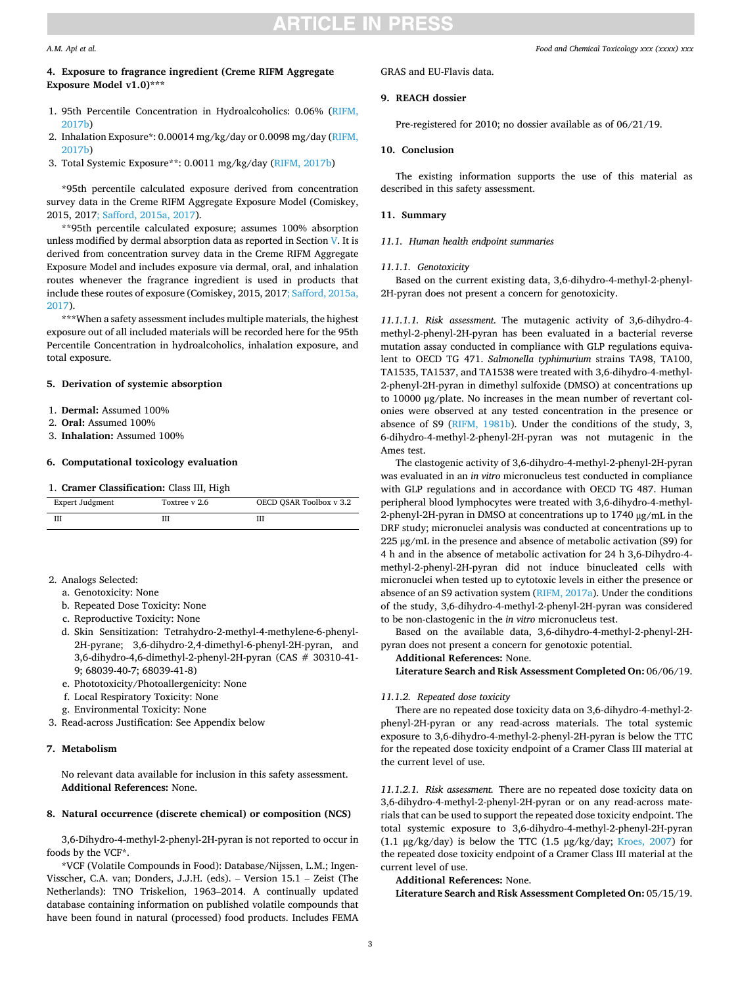# **ARTICLE IN PRESS**

# <span id="page-2-0"></span>**4. Exposure to fragrance ingredient (Creme RIFM Aggregate Exposure Model v1.0)\*\*\***

- 1. 95th Percentile Concentration in Hydroalcoholics: 0.06% [\(RIFM,](#page-8-0)  [2017b\)](#page-8-0)
- 2. Inhalation Exposure\*: 0.00014 mg/kg/day or 0.0098 mg/day [\(RIFM,](#page-8-0)  [2017b\)](#page-8-0)
- 3. Total Systemic Exposure\*\*: 0.0011 mg/kg/day ([RIFM, 2017b\)](#page-8-0)

\*95th percentile calculated exposure derived from concentration survey data in the Creme RIFM Aggregate Exposure Model (Comiskey, 2015, 201[7; Safford, 2015a, 2017](#page-7-0)).

\*\*95th percentile calculated exposure; assumes 100% absorption unless modified by dermal absorption data as reported in Section V. It is derived from concentration survey data in the Creme RIFM Aggregate Exposure Model and includes exposure via dermal, oral, and inhalation routes whenever the fragrance ingredient is used in products that include these routes of exposure (Comiskey, 2015, 201[7; Safford, 2015a,](#page-7-0)  [2017\)](#page-7-0).

\*\*\*When a safety assessment includes multiple materials, the highest exposure out of all included materials will be recorded here for the 95th Percentile Concentration in hydroalcoholics, inhalation exposure, and total exposure.

# **5. Derivation of systemic absorption**

- 1. **Dermal:** Assumed 100%
- 2. **Oral:** Assumed 100%
- 3. **Inhalation:** Assumed 100%

## **6. Computational toxicology evaluation**

## 1. **Cramer Classification:** Class III, High

| Expert Judgment | Toxtree v 2.6 | OECD OSAR Toolbox v 3.2 |
|-----------------|---------------|-------------------------|
|                 |               |                         |

- 2. Analogs Selected:
	- a. Genotoxicity: None
	- b. Repeated Dose Toxicity: None
	- c. Reproductive Toxicity: None
	- d. Skin Sensitization: Tetrahydro-2-methyl-4-methylene-6-phenyl-2H-pyrane; 3,6-dihydro-2,4-dimethyl-6-phenyl-2H-pyran, and 3,6-dihydro-4,6-dimethyl-2-phenyl-2H-pyran (CAS # 30310-41- 9; 68039-40-7; 68039-41-8)
	- e. Phototoxicity/Photoallergenicity: None
	- f. Local Respiratory Toxicity: None
	- g. Environmental Toxicity: None
- 3. Read-across Justification: See Appendix below

# **7. Metabolism**

No relevant data available for inclusion in this safety assessment. **Additional References:** None.

### **8. Natural occurrence (discrete chemical) or composition (NCS)**

3,6-Dihydro-4-methyl-2-phenyl-2H-pyran is not reported to occur in foods by the VCF\*.

\*VCF (Volatile Compounds in Food): Database/Nijssen, L.M.; Ingen-Visscher, C.A. van; Donders, J.J.H. (eds). – Version 15.1 – Zeist (The Netherlands): TNO Triskelion, 1963–2014. A continually updated database containing information on published volatile compounds that have been found in natural (processed) food products. Includes FEMA

GRAS and EU-Flavis data.

### **9. REACH dossier**

Pre-registered for 2010; no dossier available as of 06/21/19.

#### **10. Conclusion**

The existing information supports the use of this material as described in this safety assessment.

#### **11. Summary**

#### *11.1. Human health endpoint summaries*

#### *11.1.1. Genotoxicity*

Based on the current existing data, 3,6-dihydro-4-methyl-2-phenyl-2H-pyran does not present a concern for genotoxicity.

*11.1.1.1. Risk assessment.* The mutagenic activity of 3,6-dihydro-4 methyl-2-phenyl-2H-pyran has been evaluated in a bacterial reverse mutation assay conducted in compliance with GLP regulations equivalent to OECD TG 471. *Salmonella typhimurium* strains TA98, TA100, TA1535, TA1537, and TA1538 were treated with 3,6-dihydro-4-methyl-2-phenyl-2H-pyran in dimethyl sulfoxide (DMSO) at concentrations up to 10000 μg/plate. No increases in the mean number of revertant colonies were observed at any tested concentration in the presence or absence of S9 ([RIFM, 1981b](#page-7-0)). Under the conditions of the study, 3, 6-dihydro-4-methyl-2-phenyl-2H-pyran was not mutagenic in the Ames test.

The clastogenic activity of 3,6-dihydro-4-methyl-2-phenyl-2H-pyran was evaluated in an *in vitro* micronucleus test conducted in compliance with GLP regulations and in accordance with OECD TG 487. Human peripheral blood lymphocytes were treated with 3,6-dihydro-4-methyl-2-phenyl-2H-pyran in DMSO at concentrations up to 1740 μg/mL in the DRF study; micronuclei analysis was conducted at concentrations up to 225 μg/mL in the presence and absence of metabolic activation (S9) for 4 h and in the absence of metabolic activation for 24 h 3,6-Dihydro-4 methyl-2-phenyl-2H-pyran did not induce binucleated cells with micronuclei when tested up to cytotoxic levels in either the presence or absence of an S9 activation system ([RIFM, 2017a](#page-8-0)). Under the conditions of the study, 3,6-dihydro-4-methyl-2-phenyl-2H-pyran was considered to be non-clastogenic in the *in vitro* micronucleus test.

Based on the available data, 3,6-dihydro-4-methyl-2-phenyl-2Hpyran does not present a concern for genotoxic potential.

**Additional References:** None.

**Literature Search and Risk Assessment Completed On:** 06/06/19.

### *11.1.2. Repeated dose toxicity*

There are no repeated dose toxicity data on 3,6-dihydro-4-methyl-2 phenyl-2H-pyran or any read-across materials. The total systemic exposure to 3,6-dihydro-4-methyl-2-phenyl-2H-pyran is below the TTC for the repeated dose toxicity endpoint of a Cramer Class III material at the current level of use.

*11.1.2.1. Risk assessment.* There are no repeated dose toxicity data on 3,6-dihydro-4-methyl-2-phenyl-2H-pyran or on any read-across materials that can be used to support the repeated dose toxicity endpoint. The total systemic exposure to 3,6-dihydro-4-methyl-2-phenyl-2H-pyran (1.1  $\mu$ g/kg/day) is below the TTC (1.5  $\mu$ g/kg/day; [Kroes, 2007\)](#page-7-0) for the repeated dose toxicity endpoint of a Cramer Class III material at the current level of use.

# **Additional References:** None.

**Literature Search and Risk Assessment Completed On:** 05/15/19.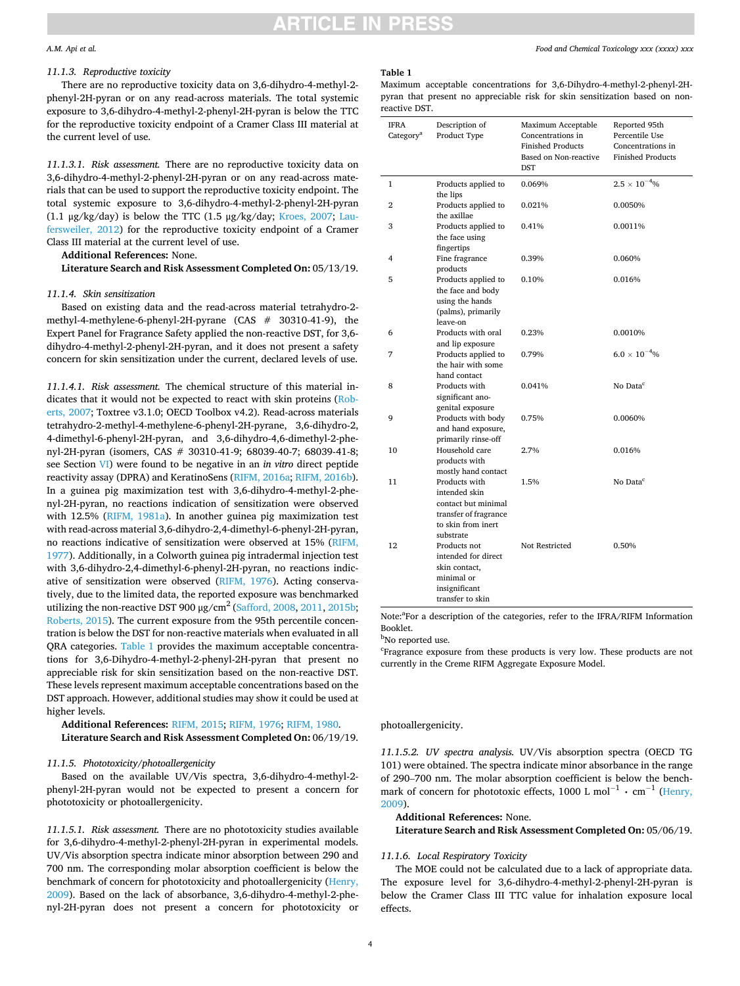# CLE IN

### *A.M. Api et al.*

#### *11.1.3. Reproductive toxicity*

There are no reproductive toxicity data on 3,6-dihydro-4-methyl-2 phenyl-2H-pyran or on any read-across materials. The total systemic exposure to 3,6-dihydro-4-methyl-2-phenyl-2H-pyran is below the TTC for the reproductive toxicity endpoint of a Cramer Class III material at the current level of use.

*11.1.3.1. Risk assessment.* There are no reproductive toxicity data on 3,6-dihydro-4-methyl-2-phenyl-2H-pyran or on any read-across materials that can be used to support the reproductive toxicity endpoint. The total systemic exposure to 3,6-dihydro-4-methyl-2-phenyl-2H-pyran (1.1 μg/kg/day) is below the TTC (1.5 μg/kg/day; [Kroes, 2007;](#page-7-0) [Lau](#page-7-0)[fersweiler, 2012](#page-7-0)) for the reproductive toxicity endpoint of a Cramer Class III material at the current level of use.

**Additional References:** None.

**Literature Search and Risk Assessment Completed On:** 05/13/19.

#### *11.1.4. Skin sensitization*

Based on existing data and the read-across material tetrahydro-2 methyl-4-methylene-6-phenyl-2H-pyrane (CAS # 30310-41-9), the Expert Panel for Fragrance Safety applied the non-reactive DST, for 3,6 dihydro-4-methyl-2-phenyl-2H-pyran, and it does not present a safety concern for skin sensitization under the current, declared levels of use.

*11.1.4.1. Risk assessment.* The chemical structure of this material indicates that it would not be expected to react with skin proteins [\(Rob](#page-8-0)[erts, 2007](#page-8-0); Toxtree v3.1.0; OECD Toolbox v4.2). Read-across materials tetrahydro-2-methyl-4-methylene-6-phenyl-2H-pyrane, 3,6-dihydro-2, 4-dimethyl-6-phenyl-2H-pyran, and 3,6-dihydro-4,6-dimethyl-2-phenyl-2H-pyran (isomers, CAS # 30310-41-9; 68039-40-7; 68039-41-8; see Section [VI\)](#page-2-0) were found to be negative in an *in vitro* direct peptide reactivity assay (DPRA) and KeratinoSens [\(RIFM, 2016a;](#page-7-0) [RIFM, 2016b](#page-8-0)). In a guinea pig maximization test with 3,6-dihydro-4-methyl-2-phenyl-2H-pyran, no reactions indication of sensitization were observed with 12.5% [\(RIFM, 1981a\)](#page-7-0). In another guinea pig maximization test with read-across material 3,6-dihydro-2,4-dimethyl-6-phenyl-2H-pyran, no reactions indicative of sensitization were observed at 15% [\(RIFM,](#page-7-0)  [1977\)](#page-7-0). Additionally, in a Colworth guinea pig intradermal injection test with 3,6-dihydro-2,4-dimethyl-6-phenyl-2H-pyran, no reactions indicative of sensitization were observed [\(RIFM, 1976](#page-7-0)). Acting conservatively, due to the limited data, the reported exposure was benchmarked utilizing the non-reactive DST 900  $\mu$ g/cm<sup>2</sup> [\(Safford, 2008, 2011, 2015b](#page-8-0); [Roberts, 2015](#page-8-0)). The current exposure from the 95th percentile concentration is below the DST for non-reactive materials when evaluated in all QRA categories. Table 1 provides the maximum acceptable concentrations for 3,6-Dihydro-4-methyl-2-phenyl-2H-pyran that present no appreciable risk for skin sensitization based on the non-reactive DST. These levels represent maximum acceptable concentrations based on the DST approach. However, additional studies may show it could be used at higher levels.

**Additional References:** [RIFM, 2015;](#page-7-0) [RIFM, 1976](#page-7-0); [RIFM, 1980.](#page-7-0) **Literature Search and Risk Assessment Completed On:** 06/19/19.

#### *11.1.5. Phototoxicity/photoallergenicity*

Based on the available UV/Vis spectra, 3,6-dihydro-4-methyl-2 phenyl-2H-pyran would not be expected to present a concern for phototoxicity or photoallergenicity.

*11.1.5.1. Risk assessment.* There are no phototoxicity studies available for 3,6-dihydro-4-methyl-2-phenyl-2H-pyran in experimental models. UV/Vis absorption spectra indicate minor absorption between 290 and 700 nm. The corresponding molar absorption coefficient is below the benchmark of concern for phototoxicity and photoallergenicity ([Henry,](#page-7-0)  [2009\)](#page-7-0). Based on the lack of absorbance, 3,6-dihydro-4-methyl-2-phenyl-2H-pyran does not present a concern for phototoxicity or

#### **Table 1**

Maximum acceptable concentrations for 3,6-Dihydro-4-methyl-2-phenyl-2Hpyran that present no appreciable risk for skin sensitization based on nonreactive DST.

| <b>IFRA</b><br>Category <sup>a</sup> | Description of<br>Product Type                                                                                    | Maximum Acceptable<br>Concentrations in<br><b>Finished Products</b><br>Based on Non-reactive<br><b>DST</b> | Reported 95th<br>Percentile Use<br>Concentrations in<br><b>Finished Products</b> |
|--------------------------------------|-------------------------------------------------------------------------------------------------------------------|------------------------------------------------------------------------------------------------------------|----------------------------------------------------------------------------------|
| 1                                    | Products applied to<br>the lips                                                                                   | 0.069%                                                                                                     | $2.5 \times 10^{-4}$ %                                                           |
| 2                                    | Products applied to<br>the axillae                                                                                | 0.021%                                                                                                     | 0.0050%                                                                          |
| 3                                    | Products applied to<br>the face using<br>fingertips                                                               | 0.41%                                                                                                      | 0.0011%                                                                          |
| 4                                    | Fine fragrance<br>products                                                                                        | 0.39%                                                                                                      | 0.060%                                                                           |
| 5                                    | Products applied to<br>the face and body<br>using the hands<br>(palms), primarily<br>leave-on                     | 0.10%                                                                                                      | 0.016%                                                                           |
| 6                                    | Products with oral<br>and lip exposure                                                                            | 0.23%                                                                                                      | 0.0010%                                                                          |
| 7                                    | Products applied to<br>the hair with some<br>hand contact                                                         | 0.79%                                                                                                      | $6.0 \times 10^{-4}$ %                                                           |
| 8                                    | Products with<br>significant ano-<br>genital exposure                                                             | 0.041%                                                                                                     | No Data <sup>c</sup>                                                             |
| 9                                    | Products with body<br>and hand exposure,<br>primarily rinse-off                                                   | 0.75%                                                                                                      | 0.0060%                                                                          |
| 10                                   | Household care<br>products with<br>mostly hand contact                                                            | 2.7%                                                                                                       | 0.016%                                                                           |
| 11                                   | Products with<br>intended skin<br>contact but minimal<br>transfer of fragrance<br>to skin from inert<br>substrate | 1.5%                                                                                                       | No Data <sup>c</sup>                                                             |
| 12                                   | Products not<br>intended for direct<br>skin contact.<br>minimal or<br>insignificant<br>transfer to skin           | Not Restricted                                                                                             | 0.50%                                                                            |

Note:<sup>a</sup>For a description of the categories, refer to the IFRA/RIFM Information Booklet.

 $\rm^{b}$ No reported use.<br><sup>C</sup>Eragrance exposu

Fragrance exposure from these products is very low. These products are not currently in the Creme RIFM Aggregate Exposure Model.

## photoallergenicity.

*11.1.5.2. UV spectra analysis.* UV/Vis absorption spectra (OECD TG 101) were obtained. The spectra indicate minor absorbance in the range of 290–700 nm. The molar absorption coefficient is below the benchmark of concern for phototoxic effects, 1000 L mol<sup>-1</sup>  $\cdot$  cm<sup>-1</sup> (Henry, [2009\)](#page-7-0).

# **Additional References:** None. **Literature Search and Risk Assessment Completed On:** 05/06/19.

#### *11.1.6. Local Respiratory Toxicity*

The MOE could not be calculated due to a lack of appropriate data. The exposure level for 3,6-dihydro-4-methyl-2-phenyl-2H-pyran is below the Cramer Class III TTC value for inhalation exposure local effects.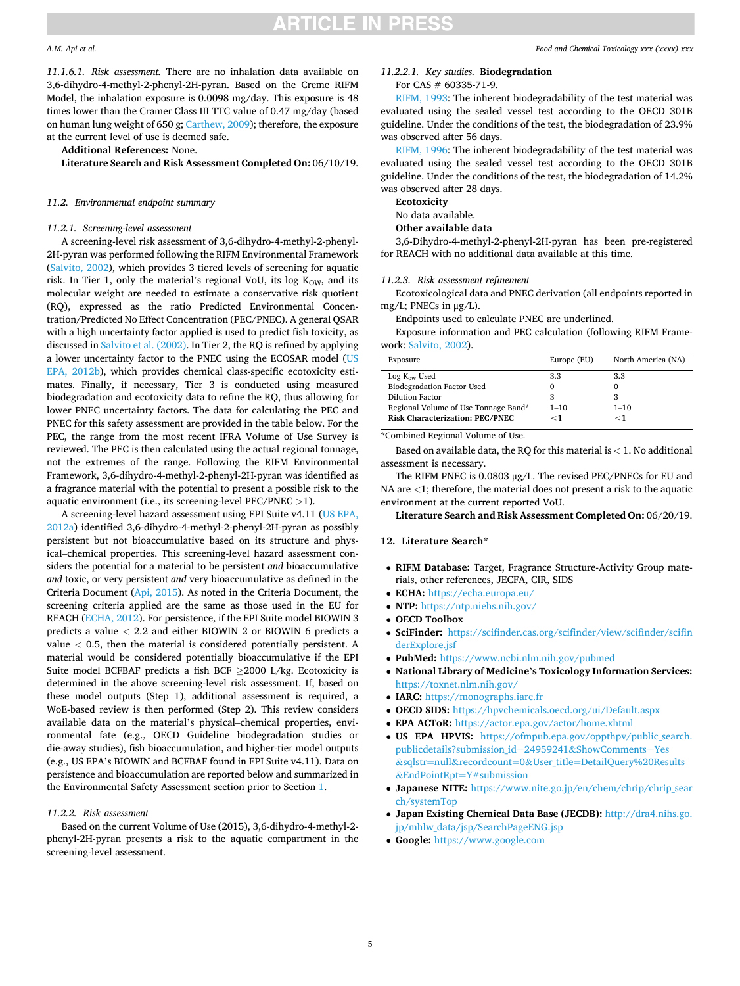## *A.M. Api et al.*

*11.1.6.1. Risk assessment.* There are no inhalation data available on 3,6-dihydro-4-methyl-2-phenyl-2H-pyran. Based on the Creme RIFM Model, the inhalation exposure is 0.0098 mg/day. This exposure is 48 times lower than the Cramer Class III TTC value of 0.47 mg/day (based on human lung weight of 650 g; [Carthew, 2009](#page-7-0)); therefore, the exposure at the current level of use is deemed safe.

**Additional References:** None.

**Literature Search and Risk Assessment Completed On:** 06/10/19.

### *11.2. Environmental endpoint summary*

#### *11.2.1. Screening-level assessment*

A screening-level risk assessment of 3,6-dihydro-4-methyl-2-phenyl-2H-pyran was performed following the RIFM Environmental Framework ([Salvito, 2002\)](#page-8-0), which provides 3 tiered levels of screening for aquatic risk. In Tier 1, only the material's regional VoU, its log  $K<sub>OW</sub>$ , and its molecular weight are needed to estimate a conservative risk quotient (RQ), expressed as the ratio Predicted Environmental Concentration/Predicted No Effect Concentration (PEC/PNEC). A general QSAR with a high uncertainty factor applied is used to predict fish toxicity, as discussed in [Salvito et al. \(2002\)](#page-8-0). In Tier 2, the RQ is refined by applying a lower uncertainty factor to the PNEC using the ECOSAR model ([US](#page-8-0)  [EPA, 2012b](#page-8-0)), which provides chemical class-specific ecotoxicity estimates. Finally, if necessary, Tier 3 is conducted using measured biodegradation and ecotoxicity data to refine the RQ, thus allowing for lower PNEC uncertainty factors. The data for calculating the PEC and PNEC for this safety assessment are provided in the table below. For the PEC, the range from the most recent IFRA Volume of Use Survey is reviewed. The PEC is then calculated using the actual regional tonnage, not the extremes of the range. Following the RIFM Environmental Framework, 3,6-dihydro-4-methyl-2-phenyl-2H-pyran was identified as a fragrance material with the potential to present a possible risk to the aquatic environment (i.e., its screening-level PEC/PNEC *>*1).

A screening-level hazard assessment using EPI Suite v4.11 ([US EPA,](#page-8-0)  [2012a\)](#page-8-0) identified 3,6-dihydro-4-methyl-2-phenyl-2H-pyran as possibly persistent but not bioaccumulative based on its structure and physical–chemical properties. This screening-level hazard assessment considers the potential for a material to be persistent *and* bioaccumulative *and* toxic, or very persistent *and* very bioaccumulative as defined in the Criteria Document [\(Api, 2015](#page-7-0)). As noted in the Criteria Document, the screening criteria applied are the same as those used in the EU for REACH ([ECHA, 2012\)](#page-7-0). For persistence, if the EPI Suite model BIOWIN 3 predicts a value *<* 2.2 and either BIOWIN 2 or BIOWIN 6 predicts a value *<* 0.5, then the material is considered potentially persistent. A material would be considered potentially bioaccumulative if the EPI Suite model BCFBAF predicts a fish BCF ≥2000 L/kg. Ecotoxicity is determined in the above screening-level risk assessment. If, based on these model outputs (Step 1), additional assessment is required, a WoE-based review is then performed (Step 2). This review considers available data on the material's physical–chemical properties, environmental fate (e.g., OECD Guideline biodegradation studies or die-away studies), fish bioaccumulation, and higher-tier model outputs (e.g., US EPA's BIOWIN and BCFBAF found in EPI Suite v4.11). Data on persistence and bioaccumulation are reported below and summarized in the Environmental Safety Assessment section prior to Section [1](#page-1-0).

#### *11.2.2. Risk assessment*

Based on the current Volume of Use (2015), 3,6-dihydro-4-methyl-2 phenyl-2H-pyran presents a risk to the aquatic compartment in the screening-level assessment.

# *11.2.2.1. Key studies.* **Biodegradation**

# For CAS # 60335-71-9.

[RIFM, 1993](#page-7-0): The inherent biodegradability of the test material was evaluated using the sealed vessel test according to the OECD 301B guideline. Under the conditions of the test, the biodegradation of 23.9% was observed after 56 days.

[RIFM, 1996](#page-7-0): The inherent biodegradability of the test material was evaluated using the sealed vessel test according to the OECD 301B guideline. Under the conditions of the test, the biodegradation of 14.2% was observed after 28 days.

**Ecotoxicity** 

No data available.

**Other available data** 

3,6-Dihydro-4-methyl-2-phenyl-2H-pyran has been pre-registered for REACH with no additional data available at this time.

## *11.2.3. Risk assessment refinement*

Ecotoxicological data and PNEC derivation (all endpoints reported in mg/L; PNECs in μg/L).

Endpoints used to calculate PNEC are underlined.

Exposure information and PEC calculation (following RIFM Framework: [Salvito, 2002](#page-8-0)).

| Exposure                               | Europe (EU) | North America (NA) |
|----------------------------------------|-------------|--------------------|
| $Log K_{ow}$ Used                      | 3.3         | 3.3                |
| <b>Biodegradation Factor Used</b>      |             | 0                  |
| Dilution Factor                        | 3           | 3                  |
| Regional Volume of Use Tonnage Band*   | $1 - 10$    | $1 - 10$           |
| <b>Risk Characterization: PEC/PNEC</b> | $<$ 1       | - 1                |

\*Combined Regional Volume of Use.

Based on available data, the RQ for this material is *<* 1. No additional assessment is necessary.

The RIFM PNEC is 0.0803 μg/L. The revised PEC/PNECs for EU and NA are *<*1; therefore, the material does not present a risk to the aquatic environment at the current reported VoU.

**Literature Search and Risk Assessment Completed On:** 06/20/19.

#### **12. Literature Search\***

- **RIFM Database:** Target, Fragrance Structure-Activity Group materials, other references, JECFA, CIR, SIDS
- **ECHA:** <https://echa.europa.eu/>
- **NTP:** <https://ntp.niehs.nih.gov/>
- **OECD Toolbox**
- **SciFinder:** [https://scifinder.cas.org/scifinder/view/scifinder/scifin](https://scifinder.cas.org/scifinder/view/scifinder/scifinderExplore.jsf)  [derExplore.jsf](https://scifinder.cas.org/scifinder/view/scifinder/scifinderExplore.jsf)
- **PubMed:** <https://www.ncbi.nlm.nih.gov/pubmed>
- **National Library of Medicine's Toxicology Information Services:**  <https://toxnet.nlm.nih.gov/>
- **IARC:** <https://monographs.iarc.fr>
- **OECD SIDS:** <https://hpvchemicals.oecd.org/ui/Default.aspx>
- **EPA ACToR:** <https://actor.epa.gov/actor/home.xhtml>
- **US EPA HPVIS:** [https://ofmpub.epa.gov/oppthpv/public\\_search.](https://ofmpub.epa.gov/oppthpv/public_search.publicdetails?submission_id=24959241&ShowComments=Yes&sqlstr=null&recordcount=0&User_title=DetailQuery%20Results&EndPointRpt=Y#submission)  [publicdetails?submission\\_id](https://ofmpub.epa.gov/oppthpv/public_search.publicdetails?submission_id=24959241&ShowComments=Yes&sqlstr=null&recordcount=0&User_title=DetailQuery%20Results&EndPointRpt=Y#submission)=24959241&ShowComments=Yes &sqlstr=null&recordcount=0&User\_title=[DetailQuery%20Results](https://ofmpub.epa.gov/oppthpv/public_search.publicdetails?submission_id=24959241&ShowComments=Yes&sqlstr=null&recordcount=0&User_title=DetailQuery%20Results&EndPointRpt=Y#submission) &EndPointRpt=[Y#submission](https://ofmpub.epa.gov/oppthpv/public_search.publicdetails?submission_id=24959241&ShowComments=Yes&sqlstr=null&recordcount=0&User_title=DetailQuery%20Results&EndPointRpt=Y#submission)
- **Japanese NITE:** [https://www.nite.go.jp/en/chem/chrip/chrip\\_sear](https://www.nite.go.jp/en/chem/chrip/chrip_search/systemTop)  [ch/systemTop](https://www.nite.go.jp/en/chem/chrip/chrip_search/systemTop)
- **Japan Existing Chemical Data Base (JECDB):** [http://dra4.nihs.go.](http://dra4.nihs.go.jp/mhlw_data/jsp/SearchPageENG.jsp)  [jp/mhlw\\_data/jsp/SearchPageENG.jsp](http://dra4.nihs.go.jp/mhlw_data/jsp/SearchPageENG.jsp)
- **Google:** <https://www.google.com>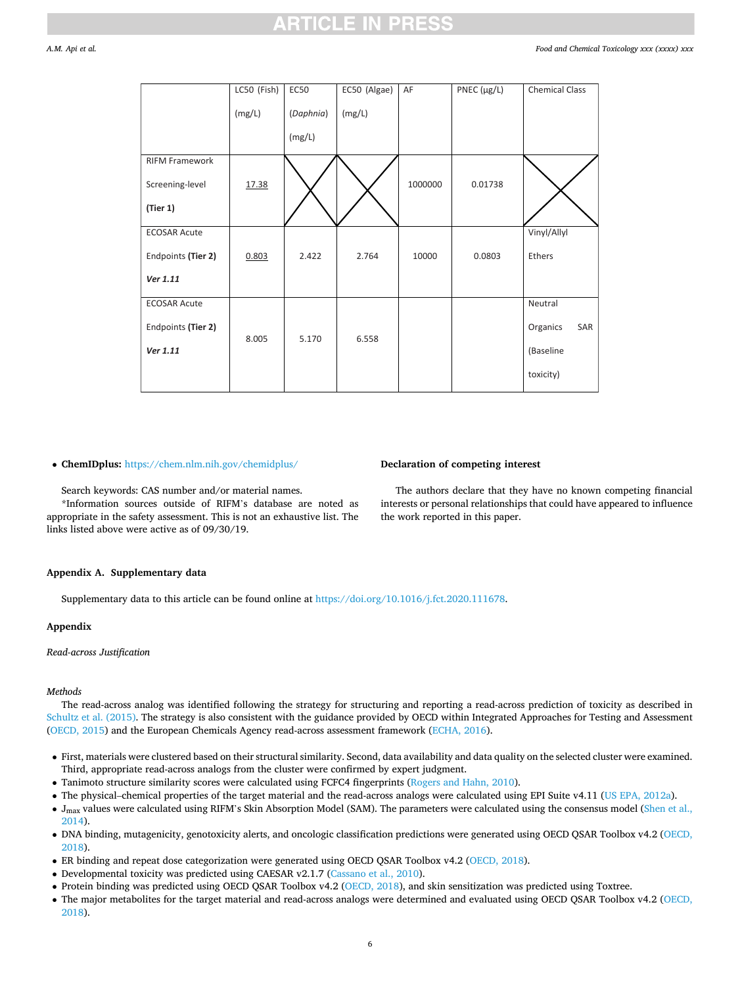|                       | LC50 (Fish) | <b>EC50</b> | EC50 (Algae) | AF      | PNEC $(\mu g/L)$ | <b>Chemical Class</b> |
|-----------------------|-------------|-------------|--------------|---------|------------------|-----------------------|
|                       | (mg/L)      | (Daphnia)   | (mg/L)       |         |                  |                       |
|                       |             | (mg/L)      |              |         |                  |                       |
| <b>RIFM Framework</b> |             |             |              |         |                  |                       |
| Screening-level       | 17.38       |             |              | 1000000 | 0.01738          |                       |
| (Tier 1)              |             |             |              |         |                  |                       |
| <b>ECOSAR Acute</b>   |             |             |              |         |                  | Vinyl/Allyl           |
| Endpoints (Tier 2)    | 0.803       | 2.422       | 2.764        | 10000   | 0.0803           | Ethers                |
| Ver 1.11              |             |             |              |         |                  |                       |
| <b>ECOSAR Acute</b>   |             |             |              |         |                  | Neutral               |
| Endpoints (Tier 2)    | 8.005       | 5.170       | 6.558        |         |                  | Organics<br>SAR       |
| Ver 1.11              |             |             |              |         |                  | (Baseline             |
|                       |             |             |              |         |                  | toxicity)             |
|                       |             |             |              |         |                  |                       |

#### • **ChemIDplus:** <https://chem.nlm.nih.gov/chemidplus/>

Search keywords: CAS number and/or material names.

\*Information sources outside of RIFM's database are noted as appropriate in the safety assessment. This is not an exhaustive list. The links listed above were active as of 09/30/19.

# **Declaration of competing interest**

The authors declare that they have no known competing financial interests or personal relationships that could have appeared to influence the work reported in this paper.

# **Appendix A. Supplementary data**

Supplementary data to this article can be found online at [https://doi.org/10.1016/j.fct.2020.111678.](https://doi.org/10.1016/j.fct.2020.111678)

# **Appendix**

#### *Read-across Justification*

# *Methods*

The read-across analog was identified following the strategy for structuring and reporting a read-across prediction of toxicity as described in [Schultz et al. \(2015\)](#page-8-0). The strategy is also consistent with the guidance provided by OECD within Integrated Approaches for Testing and Assessment ([OECD, 2015](#page-7-0)) and the European Chemicals Agency read-across assessment framework [\(ECHA, 2016\)](#page-7-0).

- First, materials were clustered based on their structural similarity. Second, data availability and data quality on the selected cluster were examined. Third, appropriate read-across analogs from the cluster were confirmed by expert judgment.
- Tanimoto structure similarity scores were calculated using FCFC4 fingerprints ([Rogers and Hahn, 2010](#page-8-0)).
- The physical–chemical properties of the target material and the read-across analogs were calculated using EPI Suite v4.11 ([US EPA, 2012a](#page-8-0)).
- J<sub>max</sub> values were calculated using RIFM's Skin Absorption Model (SAM). The parameters were calculated using the consensus model ([Shen et al.,](#page-8-0) [2014](#page-8-0)).
- DNA binding, mutagenicity, genotoxicity alerts, and oncologic classification predictions were generated using OECD QSAR Toolbox v4.2 [\(OECD,](#page-7-0) [2018](#page-7-0)).
- ER binding and repeat dose categorization were generated using OECD QSAR Toolbox v4.2 [\(OECD, 2018\)](#page-7-0).
- Developmental toxicity was predicted using CAESAR v2.1.7 [\(Cassano et al., 2010](#page-7-0)).
- Protein binding was predicted using OECD QSAR Toolbox v4.2 ([OECD, 2018](#page-7-0)), and skin sensitization was predicted using Toxtree.
- The major metabolites for the target material and read-across analogs were determined and evaluated using OECD QSAR Toolbox v4.2 [\(OECD,](#page-7-0) [2018](#page-7-0)).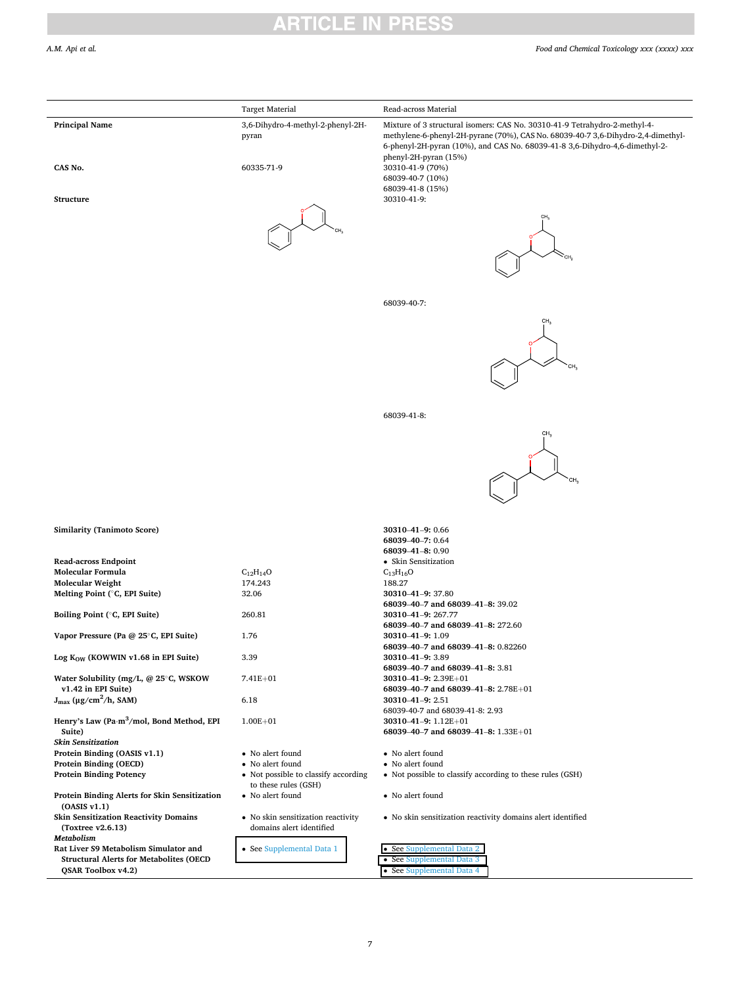# *A.M. Api et al.*

# **ARTICLE IN PRESS**

|                                                                   | <b>Target Material</b>                                         | Read-across Material                                                                                                                                                                                                                                                   |
|-------------------------------------------------------------------|----------------------------------------------------------------|------------------------------------------------------------------------------------------------------------------------------------------------------------------------------------------------------------------------------------------------------------------------|
| <b>Principal Name</b>                                             | 3,6-Dihydro-4-methyl-2-phenyl-2H-<br>pyran                     | Mixture of 3 structural isomers: CAS No. 30310-41-9 Tetrahydro-2-methyl-4-<br>methylene-6-phenyl-2H-pyrane (70%), CAS No. 68039-40-7 3,6-Dihydro-2,4-dimethyl-<br>6-phenyl-2H-pyran (10%), and CAS No. 68039-41-8 3,6-Dihydro-4,6-dimethyl-2-<br>phenyl-2H-pyran (15%) |
| CAS No.                                                           | 60335-71-9                                                     | 30310-41-9 (70%)<br>68039-40-7 (10%)<br>68039-41-8 (15%)                                                                                                                                                                                                               |
| Structure                                                         |                                                                | 30310-41-9:                                                                                                                                                                                                                                                            |
|                                                                   |                                                                |                                                                                                                                                                                                                                                                        |
|                                                                   |                                                                | 68039-40-7:                                                                                                                                                                                                                                                            |
|                                                                   |                                                                | CH <sub>3</sub>                                                                                                                                                                                                                                                        |
|                                                                   |                                                                | 68039-41-8:                                                                                                                                                                                                                                                            |
|                                                                   |                                                                |                                                                                                                                                                                                                                                                        |
| <b>Similarity (Tanimoto Score)</b>                                |                                                                | 30310-41-9: 0.66                                                                                                                                                                                                                                                       |
|                                                                   |                                                                | 68039-40-7: 0.64<br>68039-41-8: 0.90                                                                                                                                                                                                                                   |
| Read-across Endpoint                                              |                                                                | • Skin Sensitization                                                                                                                                                                                                                                                   |
| <b>Molecular Formula</b>                                          | $C_{12}H_{14}O$<br>174.243                                     | $C_{13}H_{16}O$<br>188.27                                                                                                                                                                                                                                              |
| <b>Molecular Weight</b><br>Melting Point (°C, EPI Suite)          | 32.06                                                          | 30310-41-9: 37.80                                                                                                                                                                                                                                                      |
| Boiling Point (°C, EPI Suite)                                     | 260.81                                                         | 68039-40-7 and 68039-41-8: 39.02<br>30310-41-9: 267.77                                                                                                                                                                                                                 |
| Vapor Pressure (Pa @ 25°C, EPI Suite)                             | 1.76                                                           | 68039-40-7 and 68039-41-8: 272.60<br>30310-41-9: 1.09                                                                                                                                                                                                                  |
| Log $K_{OW}$ (KOWWIN v1.68 in EPI Suite)                          | 3.39                                                           | 68039-40-7 and 68039-41-8: 0.82260<br>30310-41-9: 3.89                                                                                                                                                                                                                 |
| Water Solubility (mg/L, @ 25°C, WSKOW<br>v1.42 in EPI Suite)      | $7.41E + 01$                                                   | 68039-40-7 and 68039-41-8: 3.81<br>30310-41-9: 2.39E+01                                                                                                                                                                                                                |
| $J_{max}$ (µg/cm <sup>2</sup> /h, SAM)                            | 6.18                                                           | 68039-40-7 and 68039-41-8: 2.78E+01<br>30310-41-9: 2.51<br>68039-40-7 and 68039-41-8: 2.93                                                                                                                                                                             |
| Henry's Law (Pa·m <sup>3</sup> /mol, Bond Method, EPI<br>Suite)   | $1.00E + 01$                                                   | 30310-41-9: $1.12E+01$<br>68039-40-7 and 68039-41-8: 1.33E+01                                                                                                                                                                                                          |
| <b>Skin Sensitization</b>                                         |                                                                |                                                                                                                                                                                                                                                                        |
| Protein Binding (OASIS v1.1)                                      | • No alert found<br>• No alert found                           | • No alert found<br>• No alert found                                                                                                                                                                                                                                   |
| <b>Protein Binding (OECD)</b><br><b>Protein Binding Potency</b>   | • Not possible to classify according                           | • Not possible to classify according to these rules (GSH)                                                                                                                                                                                                              |
| Protein Binding Alerts for Skin Sensitization                     | to these rules (GSH)<br>• No alert found                       | • No alert found                                                                                                                                                                                                                                                       |
| (OASIS v1.1)                                                      |                                                                |                                                                                                                                                                                                                                                                        |
| <b>Skin Sensitization Reactivity Domains</b><br>(Toxtree v2.6.13) | • No skin sensitization reactivity<br>domains alert identified | • No skin sensitization reactivity domains alert identified                                                                                                                                                                                                            |
| Metabolism                                                        |                                                                |                                                                                                                                                                                                                                                                        |
| Rat Liver S9 Metabolism Simulator and                             | • See Supplemental Data 1                                      | • See Supplemental Data 2                                                                                                                                                                                                                                              |
| <b>Structural Alerts for Metabolites (OECD</b>                    |                                                                | • See Supplemental Data 3                                                                                                                                                                                                                                              |
| QSAR Toolbox v4.2)                                                |                                                                | • See Supplemental Data 4                                                                                                                                                                                                                                              |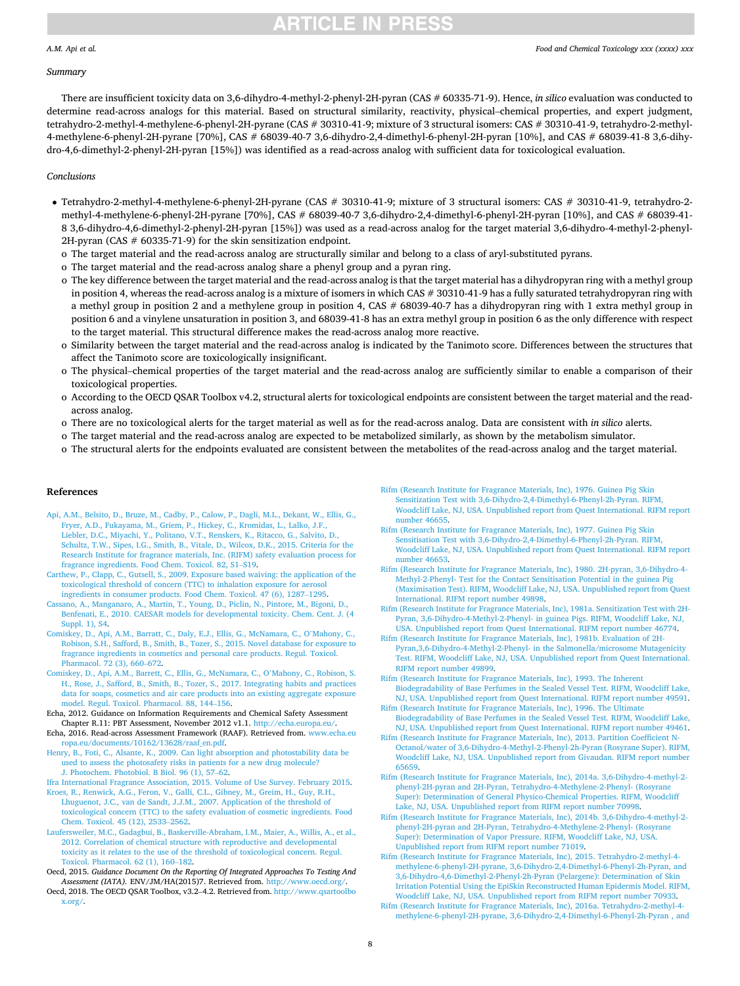# **ARTICLE IN PRESS**

#### <span id="page-7-0"></span>*A.M. Api et al.*

# *Summary*

There are insufficient toxicity data on 3,6-dihydro-4-methyl-2-phenyl-2H-pyran (CAS # 60335-71-9). Hence, *in silico* evaluation was conducted to determine read-across analogs for this material. Based on structural similarity, reactivity, physical–chemical properties, and expert judgment, tetrahydro-2-methyl-4-methylene-6-phenyl-2H-pyrane (CAS # 30310-41-9; mixture of 3 structural isomers: CAS # 30310-41-9, tetrahydro-2-methyl-4-methylene-6-phenyl-2H-pyrane [70%], CAS # 68039-40-7 3,6-dihydro-2,4-dimethyl-6-phenyl-2H-pyran [10%], and CAS # 68039-41-8 3,6-dihydro-4,6-dimethyl-2-phenyl-2H-pyran [15%]) was identified as a read-across analog with sufficient data for toxicological evaluation.

#### *Conclusions*

- Tetrahydro-2-methyl-4-methylene-6-phenyl-2H-pyrane (CAS # 30310-41-9; mixture of 3 structural isomers: CAS # 30310-41-9, tetrahydro-2 methyl-4-methylene-6-phenyl-2H-pyrane [70%], CAS # 68039-40-7 3,6-dihydro-2,4-dimethyl-6-phenyl-2H-pyran [10%], and CAS # 68039-41- 8 3,6-dihydro-4,6-dimethyl-2-phenyl-2H-pyran [15%]) was used as a read-across analog for the target material 3,6-dihydro-4-methyl-2-phenyl-2H-pyran (CAS # 60335-71-9) for the skin sensitization endpoint.
	- o The target material and the read-across analog are structurally similar and belong to a class of aryl-substituted pyrans.
	- o The target material and the read-across analog share a phenyl group and a pyran ring.
	- o The key difference between the target material and the read-across analog is that the target material has a dihydropyran ring with a methyl group in position 4, whereas the read-across analog is a mixture of isomers in which CAS  $# 30310-41-9$  has a fully saturated tetrahydropyran ring with a methyl group in position 2 and a methylene group in position 4, CAS  $#$  68039-40-7 has a dihydropyran ring with 1 extra methyl group in position 6 and a vinylene unsaturation in position 3, and 68039-41-8 has an extra methyl group in position 6 as the only difference with respect to the target material. This structural difference makes the read-across analog more reactive.
	- o Similarity between the target material and the read-across analog is indicated by the Tanimoto score. Differences between the structures that affect the Tanimoto score are toxicologically insignificant.
	- o The physical–chemical properties of the target material and the read-across analog are sufficiently similar to enable a comparison of their toxicological properties.
	- o According to the OECD QSAR Toolbox v4.2, structural alerts for toxicological endpoints are consistent between the target material and the readacross analog.
	- o There are no toxicological alerts for the target material as well as for the read-across analog. Data are consistent with *in silico* alerts.
	- o The target material and the read-across analog are expected to be metabolized similarly, as shown by the metabolism simulator.
	- o The structural alerts for the endpoints evaluated are consistent between the metabolites of the read-across analog and the target material.

#### **References**

- [Api, A.M., Belsito, D., Bruze, M., Cadby, P., Calow, P., Dagli, M.L., Dekant, W., Ellis, G.,](http://refhub.elsevier.com/S0278-6915(20)30568-8/sref1)  [Fryer, A.D., Fukayama, M., Griem, P., Hickey, C., Kromidas, L., Lalko, J.F.,](http://refhub.elsevier.com/S0278-6915(20)30568-8/sref1)  [Liebler, D.C., Miyachi, Y., Politano, V.T., Renskers, K., Ritacco, G., Salvito, D.,](http://refhub.elsevier.com/S0278-6915(20)30568-8/sref1)  [Schultz, T.W., Sipes, I.G., Smith, B., Vitale, D., Wilcox, D.K., 2015. Criteria for the](http://refhub.elsevier.com/S0278-6915(20)30568-8/sref1)  [Research Institute for fragrance materials, Inc. \(RIFM\) safety evaluation process for](http://refhub.elsevier.com/S0278-6915(20)30568-8/sref1)  [fragrance ingredients. Food Chem. Toxicol. 82, S1](http://refhub.elsevier.com/S0278-6915(20)30568-8/sref1)–S19.
- [Carthew, P., Clapp, C., Gutsell, S., 2009. Exposure based waiving: the application of the](http://refhub.elsevier.com/S0278-6915(20)30568-8/sref2)  [toxicological threshold of concern \(TTC\) to inhalation exposure for aerosol](http://refhub.elsevier.com/S0278-6915(20)30568-8/sref2) [ingredients in consumer products. Food Chem. Toxicol. 47 \(6\), 1287](http://refhub.elsevier.com/S0278-6915(20)30568-8/sref2)–1295.
- ano, A., Manganaro, A., Martin, T., Young, D., Piclin, N., Pintore, M., Bigoni, D., [Benfenati, E., 2010. CAESAR models for developmental toxicity. Chem. Cent. J. \(4](http://refhub.elsevier.com/S0278-6915(20)30568-8/sref3)  [Suppl. 1\), S4](http://refhub.elsevier.com/S0278-6915(20)30568-8/sref3).
- [Comiskey, D., Api, A.M., Barratt, C., Daly, E.J., Ellis, G., McNamara, C., O](http://refhub.elsevier.com/S0278-6915(20)30568-8/sref4)'Mahony, C., [Robison, S.H., Safford, B., Smith, B., Tozer, S., 2015. Novel database for exposure to](http://refhub.elsevier.com/S0278-6915(20)30568-8/sref4)  [fragrance ingredients in cosmetics and personal care products. Regul. Toxicol.](http://refhub.elsevier.com/S0278-6915(20)30568-8/sref4) [Pharmacol. 72 \(3\), 660](http://refhub.elsevier.com/S0278-6915(20)30568-8/sref4)–672.
- [Comiskey, D., Api, A.M., Barrett, C., Ellis, G., McNamara, C., O](http://refhub.elsevier.com/S0278-6915(20)30568-8/sref5)'Mahony, C., Robison, S. [H., Rose, J., Safford, B., Smith, B., Tozer, S., 2017. Integrating habits and practices](http://refhub.elsevier.com/S0278-6915(20)30568-8/sref5)  [data for soaps, cosmetics and air care products into an existing aggregate exposure](http://refhub.elsevier.com/S0278-6915(20)30568-8/sref5)  [model. Regul. Toxicol. Pharmacol. 88, 144](http://refhub.elsevier.com/S0278-6915(20)30568-8/sref5)–156.
- Echa, 2012. Guidance on Information Requirements and Chemical Safety Assessment Chapter R.11: PBT Assessment, November 2012 v1.1. [http://echa.europa.eu/.](http://echa.europa.eu/)
- Echa, 2016. Read-across Assessment Framework (RAAF). Retrieved from. [www.echa.eu](http://www.echa.europa.eu/documents/10162/13628/raaf_en.pdf)  [ropa.eu/documents/10162/13628/raaf\\_en.pdf.](http://www.echa.europa.eu/documents/10162/13628/raaf_en.pdf)
- [Henry, B., Foti, C., Alsante, K., 2009. Can light absorption and photostability data be](http://refhub.elsevier.com/S0278-6915(20)30568-8/sref8)  [used to assess the photosafety risks in patients for a new drug molecule?](http://refhub.elsevier.com/S0278-6915(20)30568-8/sref8) [J. Photochem. Photobiol. B Biol. 96 \(1\), 57](http://refhub.elsevier.com/S0278-6915(20)30568-8/sref8)–62.
- [Ifra International Fragrance Association, 2015. Volume of Use Survey. February 2015.](http://refhub.elsevier.com/S0278-6915(20)30568-8/sref9) [Kroes, R., Renwick, A.G., Feron, V., Galli, C.L., Gibney, M., Greim, H., Guy, R.H.,](http://refhub.elsevier.com/S0278-6915(20)30568-8/sref10) [Lhuguenot, J.C., van de Sandt, J.J.M., 2007. Application of the threshold of](http://refhub.elsevier.com/S0278-6915(20)30568-8/sref10)
- [toxicological concern \(TTC\) to the safety evaluation of cosmetic ingredients. Food](http://refhub.elsevier.com/S0278-6915(20)30568-8/sref10)  [Chem. Toxicol. 45 \(12\), 2533](http://refhub.elsevier.com/S0278-6915(20)30568-8/sref10)–2562. [Laufersweiler, M.C., Gadagbui, B., Baskerville-Abraham, I.M., Maier, A., Willis, A., et al.,](http://refhub.elsevier.com/S0278-6915(20)30568-8/sref11)
- [2012. Correlation of chemical structure with reproductive and developmental](http://refhub.elsevier.com/S0278-6915(20)30568-8/sref11) [toxicity as it relates to the use of the threshold of toxicological concern. Regul.](http://refhub.elsevier.com/S0278-6915(20)30568-8/sref11) [Toxicol. Pharmacol. 62 \(1\), 160](http://refhub.elsevier.com/S0278-6915(20)30568-8/sref11)–182.
- Oecd, 2015. *Guidance Document On the Reporting Of Integrated Approaches To Testing And Assessment (IATA).* ENV/JM/HA(2015)7. Retrieved from. <http://www.oecd.org/>.
- Oecd, 2018. The OECD QSAR Toolbox, v3.2–4.2. Retrieved from. [http://www.qsartoolbo](http://www.qsartoolbox.org/)  [x.org/](http://www.qsartoolbox.org/).
- [Rifm \(Research Institute for Fragrance Materials, Inc\), 1976. Guinea Pig Skin](http://refhub.elsevier.com/S0278-6915(20)30568-8/sref14)  [Sensitization Test with 3,6-Dihydro-2,4-Dimethyl-6-Phenyl-2h-Pyran. RIFM,](http://refhub.elsevier.com/S0278-6915(20)30568-8/sref14) [Woodcliff Lake, NJ, USA. Unpublished report from Quest International. RIFM report](http://refhub.elsevier.com/S0278-6915(20)30568-8/sref14)  [number 46655](http://refhub.elsevier.com/S0278-6915(20)30568-8/sref14).
- [Rifm \(Research Institute for Fragrance Materials, Inc\), 1977. Guinea Pig Skin](http://refhub.elsevier.com/S0278-6915(20)30568-8/sref15)  [Sensitisation Test with 3,6-Dihydro-2,4-Dimethyl-6-Phenyl-2h-Pyran. RIFM,](http://refhub.elsevier.com/S0278-6915(20)30568-8/sref15)  [Woodcliff Lake, NJ, USA. Unpublished report from Quest International. RIFM report](http://refhub.elsevier.com/S0278-6915(20)30568-8/sref15)  [number 46653](http://refhub.elsevier.com/S0278-6915(20)30568-8/sref15).
- [Rifm \(Research Institute for Fragrance Materials, Inc\), 1980. 2H-pyran, 3,6-Dihydro-4-](http://refhub.elsevier.com/S0278-6915(20)30568-8/sref16)  [Methyl-2-Phenyl- Test for the Contact Sensitisation Potential in the guinea Pig](http://refhub.elsevier.com/S0278-6915(20)30568-8/sref16) [\(Maximisation Test\). RIFM, Woodcliff Lake, NJ, USA. Unpublished report from Quest](http://refhub.elsevier.com/S0278-6915(20)30568-8/sref16)  [International. RIFM report number 49898.](http://refhub.elsevier.com/S0278-6915(20)30568-8/sref16)
- [Rifm \(Research Institute for Fragrance Materials, Inc\), 1981a. Sensitization Test with 2H-](http://refhub.elsevier.com/S0278-6915(20)30568-8/sref17)[Pyran, 3,6-Dihydro-4-Methyl-2-Phenyl- in guinea Pigs. RIFM, Woodcliff Lake, NJ,](http://refhub.elsevier.com/S0278-6915(20)30568-8/sref17)  [USA. Unpublished report from Quest International. RIFM report number 46774](http://refhub.elsevier.com/S0278-6915(20)30568-8/sref17).
- [Rifm \(Research Institute for Fragrance Materials, Inc\), 1981b. Evaluation of 2H-](http://refhub.elsevier.com/S0278-6915(20)30568-8/sref18)[Pyran,3,6-Dihydro-4-Methyl-2-Phenyl- in the Salmonella/microsome Mutagenicity](http://refhub.elsevier.com/S0278-6915(20)30568-8/sref18) [Test. RIFM, Woodcliff Lake, NJ, USA. Unpublished report from Quest International.](http://refhub.elsevier.com/S0278-6915(20)30568-8/sref18)  [RIFM report number 49899](http://refhub.elsevier.com/S0278-6915(20)30568-8/sref18).
- [Rifm \(Research Institute for Fragrance Materials, Inc\), 1993. The Inherent](http://refhub.elsevier.com/S0278-6915(20)30568-8/sref19)  [Biodegradability of Base Perfumes in the Sealed Vessel Test. RIFM, Woodcliff Lake,](http://refhub.elsevier.com/S0278-6915(20)30568-8/sref19)  [NJ, USA. Unpublished report from Quest International. RIFM report number 49591.](http://refhub.elsevier.com/S0278-6915(20)30568-8/sref19)
- [Rifm \(Research Institute for Fragrance Materials, Inc\), 1996. The Ultimate](http://refhub.elsevier.com/S0278-6915(20)30568-8/sref20)  [Biodegradability of Base Perfumes in the Sealed Vessel Test. RIFM, Woodcliff Lake,](http://refhub.elsevier.com/S0278-6915(20)30568-8/sref20)  [NJ, USA. Unpublished report from Quest International. RIFM report number 49461.](http://refhub.elsevier.com/S0278-6915(20)30568-8/sref20)
- [Rifm \(Research Institute for Fragrance Materials, Inc\), 2013. Partition Coefficient N-](http://refhub.elsevier.com/S0278-6915(20)30568-8/sref21)[Octanol/water of 3,6-Dihydro-4-Methyl-2-Phenyl-2h-Pyran \(Rosyrane Super\). RIFM,](http://refhub.elsevier.com/S0278-6915(20)30568-8/sref21)  [Woodcliff Lake, NJ, USA. Unpublished report from Givaudan. RIFM report number](http://refhub.elsevier.com/S0278-6915(20)30568-8/sref21) [65659.](http://refhub.elsevier.com/S0278-6915(20)30568-8/sref21)
- [Rifm \(Research Institute for Fragrance Materials, Inc\), 2014a. 3,6-Dihydro-4-methyl-2](http://refhub.elsevier.com/S0278-6915(20)30568-8/sref22)  [phenyl-2H-pyran and 2H-Pyran, Tetrahydro-4-Methylene-2-Phenyl- \(Rosyrane](http://refhub.elsevier.com/S0278-6915(20)30568-8/sref22) [Super\): Determination of General Physico-Chemical Properties. RIFM, Woodcliff](http://refhub.elsevier.com/S0278-6915(20)30568-8/sref22)  [Lake, NJ, USA. Unpublished report from RIFM report number 70998.](http://refhub.elsevier.com/S0278-6915(20)30568-8/sref22)
- [Rifm \(Research Institute for Fragrance Materials, Inc\), 2014b. 3,6-Dihydro-4-methyl-2](http://refhub.elsevier.com/S0278-6915(20)30568-8/sref23)  [phenyl-2H-pyran and 2H-Pyran, Tetrahydro-4-Methylene-2-Phenyl- \(Rosyrane](http://refhub.elsevier.com/S0278-6915(20)30568-8/sref23) [Super\): Determination of Vapor Pressure. RIFM, Woodcliff Lake, NJ, USA.](http://refhub.elsevier.com/S0278-6915(20)30568-8/sref23)  [Unpublished report from RIFM report number 71019](http://refhub.elsevier.com/S0278-6915(20)30568-8/sref23).
- [Rifm \(Research Institute for Fragrance Materials, Inc\), 2015. Tetrahydro-2-methyl-4](http://refhub.elsevier.com/S0278-6915(20)30568-8/sref24)  [methylene-6-phenyl-2H-pyrane, 3,6-Dihydro-2,4-Dimethyl-6-Phenyl-2h-Pyran, and](http://refhub.elsevier.com/S0278-6915(20)30568-8/sref24)  [3,6-Dihydro-4,6-Dimethyl-2-Phenyl-2h-Pyran \(Pelargene\): Determination of Skin](http://refhub.elsevier.com/S0278-6915(20)30568-8/sref24)  [Irritation Potential Using the EpiSkin Reconstructed Human Epidermis Model. RIFM,](http://refhub.elsevier.com/S0278-6915(20)30568-8/sref24)  [Woodcliff Lake, NJ, USA. Unpublished report from RIFM report number 70933](http://refhub.elsevier.com/S0278-6915(20)30568-8/sref24).
- [Rifm \(Research Institute for Fragrance Materials, Inc\), 2016a. Tetrahydro-2-methyl-4](http://refhub.elsevier.com/S0278-6915(20)30568-8/sref25) [methylene-6-phenyl-2H-pyrane, 3,6-Dihydro-2,4-Dimethyl-6-Phenyl-2h-Pyran , and](http://refhub.elsevier.com/S0278-6915(20)30568-8/sref25)